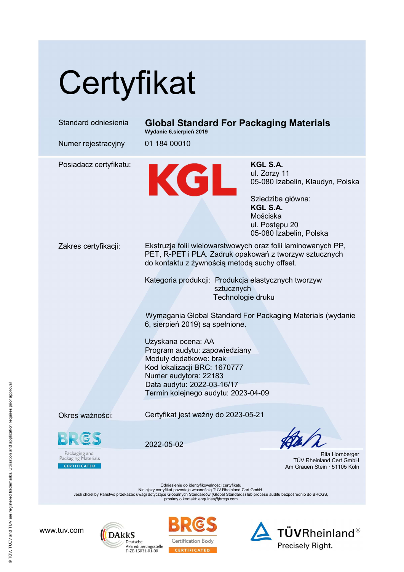## **Certyfikat**

| Standard odniesienia                                                                                                                                                                                                                                                                                  | <b>Global Standard For Packaging Materials</b><br>Wydanie 6, sierpień 2019                                                                                                                                  |                                                                                                                                                        |
|-------------------------------------------------------------------------------------------------------------------------------------------------------------------------------------------------------------------------------------------------------------------------------------------------------|-------------------------------------------------------------------------------------------------------------------------------------------------------------------------------------------------------------|--------------------------------------------------------------------------------------------------------------------------------------------------------|
| Numer rejestracyjny                                                                                                                                                                                                                                                                                   | 01 184 00010                                                                                                                                                                                                |                                                                                                                                                        |
| Posiadacz certyfikatu:                                                                                                                                                                                                                                                                                | KGL                                                                                                                                                                                                         | KGL S.A.<br>ul. Zorzy 11<br>05-080 Izabelin, Klaudyn, Polska<br>Sziedziba główna:<br>KGL S.A.<br>Mościska<br>ul. Postępu 20<br>05-080 Izabelin, Polska |
| Zakres certyfikacji:                                                                                                                                                                                                                                                                                  | Ekstruzja folii wielowarstwowych oraz folii laminowanych PP,<br>PET, R-PET i PLA. Zadruk opakowań z tworzyw sztucznych<br>do kontaktu z żywnością metodą suchy offset.                                      |                                                                                                                                                        |
|                                                                                                                                                                                                                                                                                                       | Kategoria produkcji: Produkcja elastycznych tworzyw<br>sztucznych<br>Technologie druku                                                                                                                      |                                                                                                                                                        |
|                                                                                                                                                                                                                                                                                                       | Wymagania Global Standard For Packaging Materials (wydanie<br>6, sierpień 2019) są spełnione.                                                                                                               |                                                                                                                                                        |
|                                                                                                                                                                                                                                                                                                       | Uzyskana ocena: AA<br>Program audytu: zapowiedziany<br>Moduły dodatkowe: brak<br>Kod lokalizacji BRC: 1670777<br>Numer audytora: 22183<br>Data audytu: 2022-03-16/17<br>Termin kolejnego audytu: 2023-04-09 |                                                                                                                                                        |
| Okres ważności:                                                                                                                                                                                                                                                                                       | Certyfikat jest ważny do 2023-05-21                                                                                                                                                                         |                                                                                                                                                        |
| RIGS<br>Packaging and<br>Packaging Materials<br><b>CERTIFICATED</b>                                                                                                                                                                                                                                   | 2022-05-02                                                                                                                                                                                                  | $h/\hbar$<br>Rita Hornberger<br>TÜV Rheinland Cert GmbH<br>Am Grauen Stein · 51105 Köln                                                                |
| Odniesienie do identyfikowalności certyfikatu<br>Niniejszy certyfikat pozostaje własnością TÜV Rheinland Cert GmbH.<br>Jeśli chcieliby Państwo przekazać uwagi dotyczące Globalnych Standardów (Global Standards) lub procesu auditu bezpośrednio do BRCGS,<br>prosimy o kontakt: enquiries@brcgs.com |                                                                                                                                                                                                             |                                                                                                                                                        |
|                                                                                                                                                                                                                                                                                                       |                                                                                                                                                                                                             |                                                                                                                                                        |

www.tuv.com





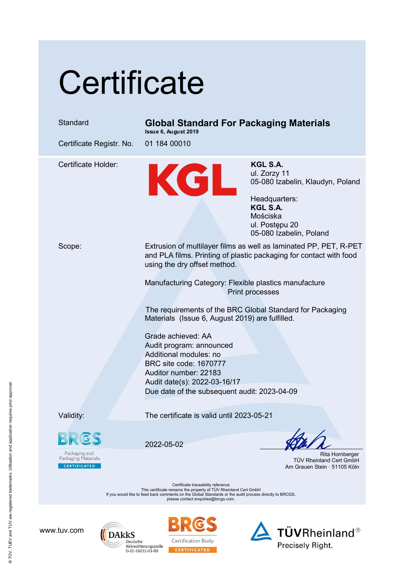## **Certificate**

## Standard Global Standard For Packaging Materials

Issue 6, August 2019

Certificate Registr. No. 01 184 00010

Certificate Holder:<br>
M. Zorzy<br>
1. Zorzy<br>
05-080 lza ul. Zorzy 11 05-080 Izabelin, Klaudyn, Poland

Headquarters: KGL S.A. Mościska ul. Postępu 20 05-080 Izabelin, Poland

Scope: Extrusion of multilayer films as well as laminated PP, PET, R-PET and PLA films. Printing of plastic packaging for contact with food using the dry offset method.

> Manufacturing Category: Flexible plastics manufacture Print processes

The requirements of the BRC Global Standard for Packaging Materials (Issue 6, August 2019) are fulfilled.

Grade achieved: AA Audit program: announced Additional modules: no BRC site code: 1670777 Auditor number: 22183 Audit date(s): 2022-03-16/17 Due date of the subsequent audit: 2023-04-09

Validity: The certificate is valid until 2023-05-21

Packaging and<br>Packaging Materials **CERTIFICATED** 

2022-05-02

 Rita Hornberger TÜV Rheinland Cert GmbH Am Grauen Stein · 51105 Köln

Certificate traceability reference This certificate remains the property of TÜV Rheinland Cert GmbH If you would like to feed back comments on the Global Standards or the audit process directly to BRCGS, please contact enquiries@brcgs.com.

www.tuv.com